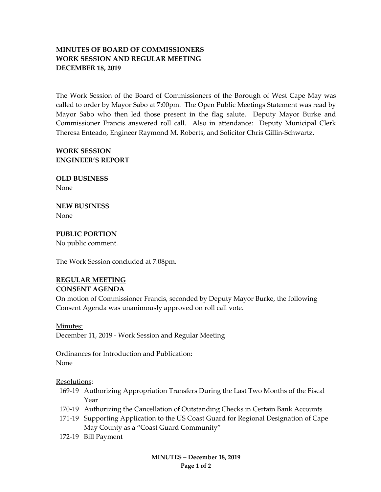# **MINUTES OF BOARD OF COMMISSIONERS WORK SESSION AND REGULAR MEETING DECEMBER 18, 2019**

The Work Session of the Board of Commissioners of the Borough of West Cape May was called to order by Mayor Sabo at 7:00pm. The Open Public Meetings Statement was read by Mayor Sabo who then led those present in the flag salute. Deputy Mayor Burke and Commissioner Francis answered roll call. Also in attendance: Deputy Municipal Clerk Theresa Enteado, Engineer Raymond M. Roberts, and Solicitor Chris Gillin-Schwartz.

## **WORK SESSION ENGINEER'S REPORT**

**OLD BUSINESS** None

**NEW BUSINESS** None

**PUBLIC PORTION** No public comment.

The Work Session concluded at 7:08pm.

### **REGULAR MEETING**

#### **CONSENT AGENDA**

On motion of Commissioner Francis, seconded by Deputy Mayor Burke, the following Consent Agenda was unanimously approved on roll call vote.

Minutes:

December 11, 2019 - Work Session and Regular Meeting

Ordinances for Introduction and Publication: None

Resolutions:

- 169-19 Authorizing Appropriation Transfers During the Last Two Months of the Fiscal Year
- 170-19 Authorizing the Cancellation of Outstanding Checks in Certain Bank Accounts
- 171-19 Supporting Application to the US Coast Guard for Regional Designation of Cape May County as a "Coast Guard Community"
- 172-19 Bill Payment

**MINUTES – December 18, 2019 Page 1 of 2**